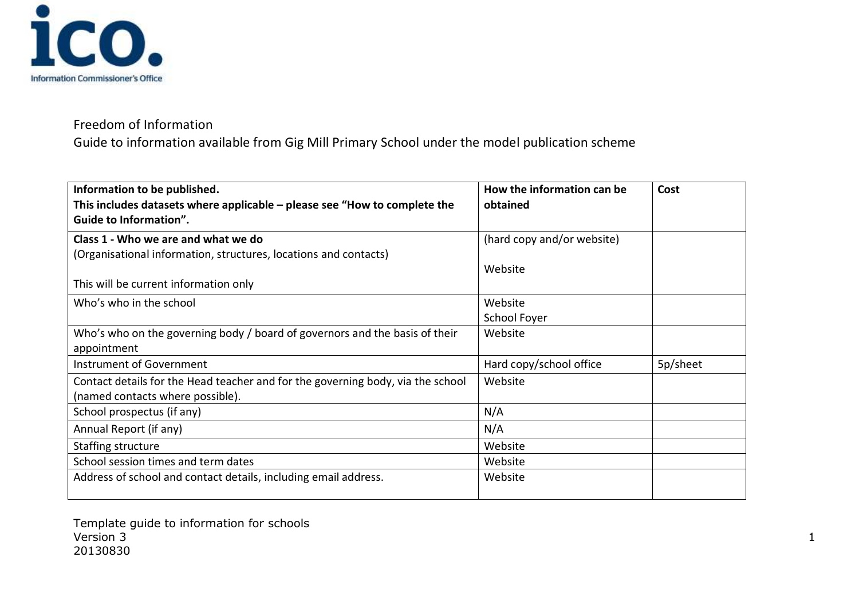

Guide to information available from Gig Mill Primary School under the model publication scheme

| Information to be published.                                                                                 | How the information can be | Cost     |
|--------------------------------------------------------------------------------------------------------------|----------------------------|----------|
| This includes datasets where applicable $-$ please see "How to complete the<br><b>Guide to Information".</b> | obtained                   |          |
| Class 1 - Who we are and what we do                                                                          | (hard copy and/or website) |          |
| (Organisational information, structures, locations and contacts)                                             |                            |          |
|                                                                                                              | Website                    |          |
| This will be current information only                                                                        |                            |          |
| Who's who in the school                                                                                      | Website                    |          |
|                                                                                                              | School Foyer               |          |
| Who's who on the governing body / board of governors and the basis of their                                  | Website                    |          |
| appointment                                                                                                  |                            |          |
| Instrument of Government                                                                                     | Hard copy/school office    | 5p/sheet |
| Contact details for the Head teacher and for the governing body, via the school                              | Website                    |          |
| (named contacts where possible).                                                                             |                            |          |
| School prospectus (if any)                                                                                   | N/A                        |          |
| Annual Report (if any)                                                                                       | N/A                        |          |
| Staffing structure                                                                                           | Website                    |          |
| School session times and term dates                                                                          | Website                    |          |
| Address of school and contact details, including email address.                                              | Website                    |          |

Template guide to information for schools version 3 and 2012 the set of the set of the set of the set of the set of the set of the set of the set of the set of the set of the set of the set of the set of the set of the set of the set of the set of the set of the s 20130830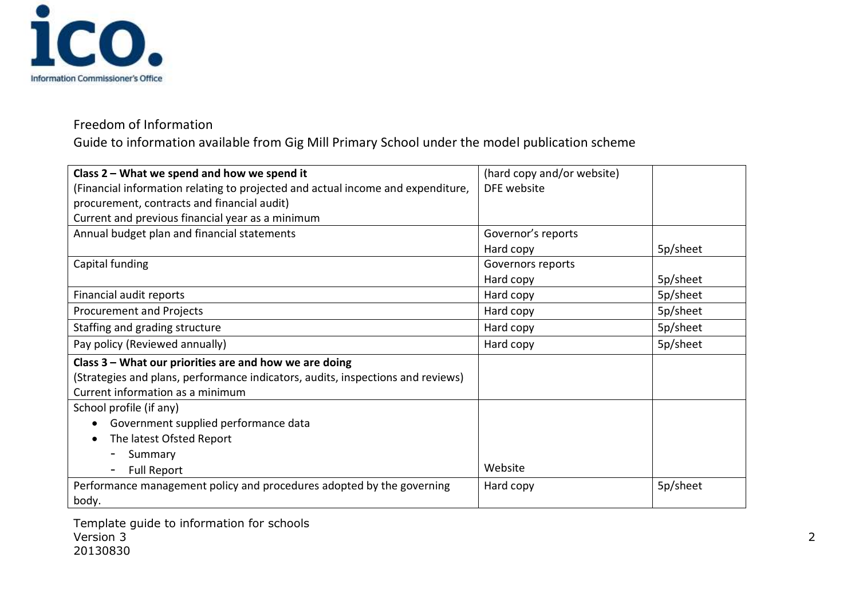

Guide to information available from Gig Mill Primary School under the model publication scheme

| Class 2 - What we spend and how we spend it                                     | (hard copy and/or website) |          |
|---------------------------------------------------------------------------------|----------------------------|----------|
| (Financial information relating to projected and actual income and expenditure, | DFE website                |          |
| procurement, contracts and financial audit)                                     |                            |          |
| Current and previous financial year as a minimum                                |                            |          |
| Annual budget plan and financial statements                                     | Governor's reports         |          |
|                                                                                 | Hard copy                  | 5p/sheet |
| Capital funding                                                                 | Governors reports          |          |
|                                                                                 | Hard copy                  | 5p/sheet |
| Financial audit reports                                                         | Hard copy                  | 5p/sheet |
| Procurement and Projects                                                        | Hard copy                  | 5p/sheet |
| Staffing and grading structure                                                  | Hard copy                  | 5p/sheet |
| Pay policy (Reviewed annually)                                                  | Hard copy                  | 5p/sheet |
| Class 3 - What our priorities are and how we are doing                          |                            |          |
| (Strategies and plans, performance indicators, audits, inspections and reviews) |                            |          |
| Current information as a minimum                                                |                            |          |
| School profile (if any)                                                         |                            |          |
| Government supplied performance data                                            |                            |          |
| The latest Ofsted Report                                                        |                            |          |
| Summary                                                                         |                            |          |
| <b>Full Report</b>                                                              | Website                    |          |
| Performance management policy and procedures adopted by the governing           | Hard copy                  | 5p/sheet |
| body.                                                                           |                            |          |

Template guide to information for schools Version 3 2 20130830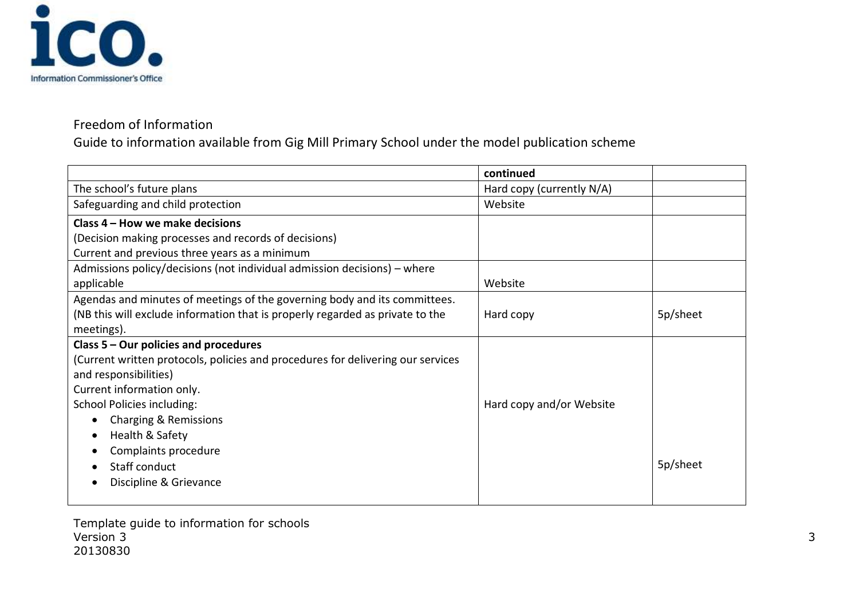

Guide to information available from Gig Mill Primary School under the model publication scheme

|                                                                                 | continued                 |          |
|---------------------------------------------------------------------------------|---------------------------|----------|
| The school's future plans                                                       | Hard copy (currently N/A) |          |
| Safeguarding and child protection                                               | Website                   |          |
| Class 4 - How we make decisions                                                 |                           |          |
| (Decision making processes and records of decisions)                            |                           |          |
| Current and previous three years as a minimum                                   |                           |          |
| Admissions policy/decisions (not individual admission decisions) – where        |                           |          |
| applicable                                                                      | Website                   |          |
| Agendas and minutes of meetings of the governing body and its committees.       |                           |          |
| (NB this will exclude information that is properly regarded as private to the   | Hard copy                 | 5p/sheet |
| meetings).                                                                      |                           |          |
| Class 5 - Our policies and procedures                                           |                           |          |
| (Current written protocols, policies and procedures for delivering our services |                           |          |
| and responsibilities)                                                           |                           |          |
| Current information only.                                                       |                           |          |
| <b>School Policies including:</b>                                               | Hard copy and/or Website  |          |
| Charging & Remissions                                                           |                           |          |
| Health & Safety                                                                 |                           |          |
| Complaints procedure                                                            |                           |          |
| Staff conduct                                                                   |                           | 5p/sheet |
| Discipline & Grievance                                                          |                           |          |
|                                                                                 |                           |          |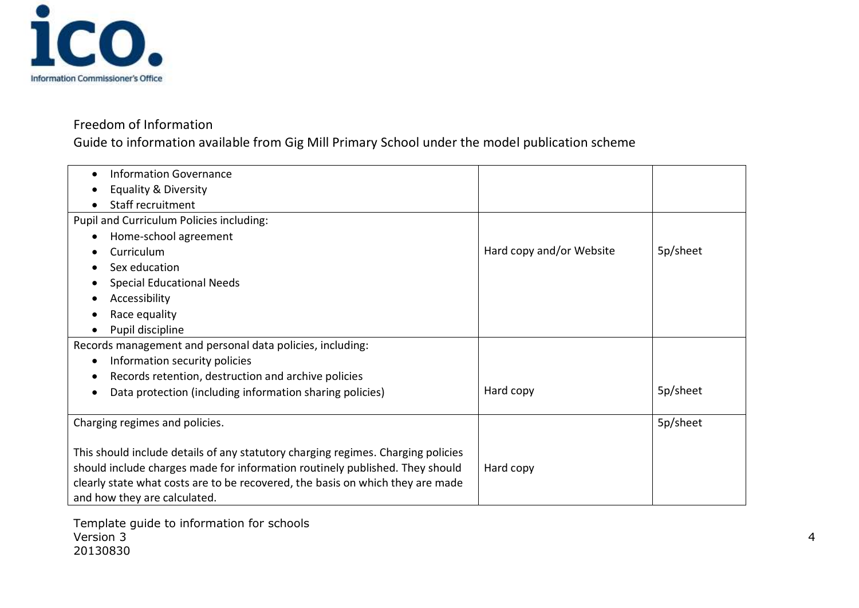

Guide to information available from Gig Mill Primary School under the model publication scheme

| <b>Information Governance</b>                                                    |                          |          |
|----------------------------------------------------------------------------------|--------------------------|----------|
| <b>Equality &amp; Diversity</b>                                                  |                          |          |
| Staff recruitment                                                                |                          |          |
| Pupil and Curriculum Policies including:                                         |                          |          |
| Home-school agreement                                                            |                          |          |
| Curriculum                                                                       | Hard copy and/or Website | 5p/sheet |
| Sex education                                                                    |                          |          |
| <b>Special Educational Needs</b>                                                 |                          |          |
| Accessibility                                                                    |                          |          |
| Race equality<br>$\bullet$                                                       |                          |          |
| Pupil discipline                                                                 |                          |          |
| Records management and personal data policies, including:                        |                          |          |
| Information security policies<br>$\bullet$                                       |                          |          |
| Records retention, destruction and archive policies<br>$\bullet$                 |                          |          |
| Data protection (including information sharing policies)                         | Hard copy                | 5p/sheet |
|                                                                                  |                          |          |
| Charging regimes and policies.                                                   |                          | 5p/sheet |
|                                                                                  |                          |          |
| This should include details of any statutory charging regimes. Charging policies |                          |          |
| should include charges made for information routinely published. They should     | Hard copy                |          |
| clearly state what costs are to be recovered, the basis on which they are made   |                          |          |
| and how they are calculated.                                                     |                          |          |

Template guide to information for schools Version 3 4 20130830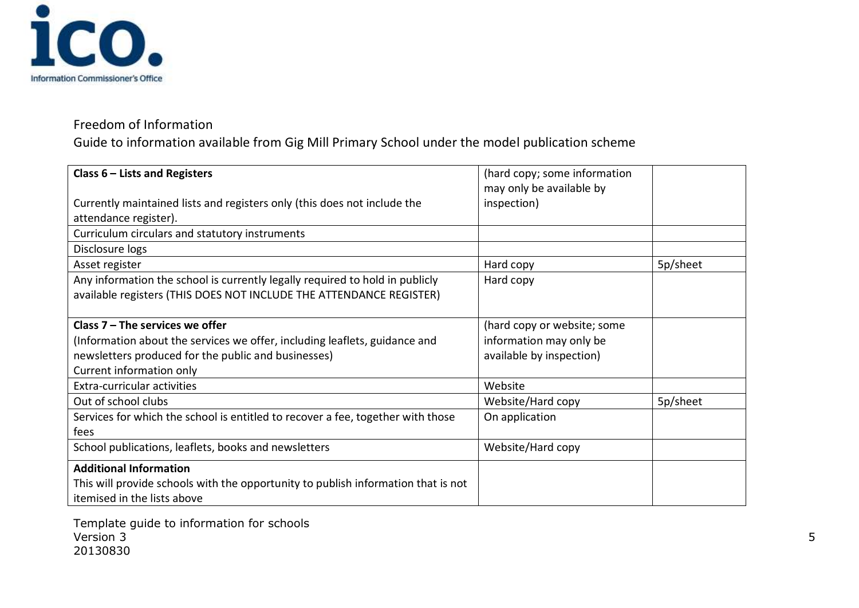

Guide to information available from Gig Mill Primary School under the model publication scheme

| Class $6$ – Lists and Registers                                                   | (hard copy; some information |          |
|-----------------------------------------------------------------------------------|------------------------------|----------|
|                                                                                   | may only be available by     |          |
| Currently maintained lists and registers only (this does not include the          | inspection)                  |          |
| attendance register).                                                             |                              |          |
| Curriculum circulars and statutory instruments                                    |                              |          |
| Disclosure logs                                                                   |                              |          |
| Asset register                                                                    | Hard copy                    | 5p/sheet |
| Any information the school is currently legally required to hold in publicly      | Hard copy                    |          |
| available registers (THIS DOES NOT INCLUDE THE ATTENDANCE REGISTER)               |                              |          |
|                                                                                   |                              |          |
| Class $7 -$ The services we offer                                                 | (hard copy or website; some  |          |
| (Information about the services we offer, including leaflets, guidance and        | information may only be      |          |
| newsletters produced for the public and businesses)                               | available by inspection)     |          |
| Current information only                                                          |                              |          |
| Extra-curricular activities                                                       | Website                      |          |
| Out of school clubs                                                               | Website/Hard copy            | 5p/sheet |
| Services for which the school is entitled to recover a fee, together with those   | On application               |          |
| fees                                                                              |                              |          |
| School publications, leaflets, books and newsletters                              | Website/Hard copy            |          |
| <b>Additional Information</b>                                                     |                              |          |
| This will provide schools with the opportunity to publish information that is not |                              |          |
| itemised in the lists above                                                       |                              |          |

Template guide to information for schools Version 3 5 20130830